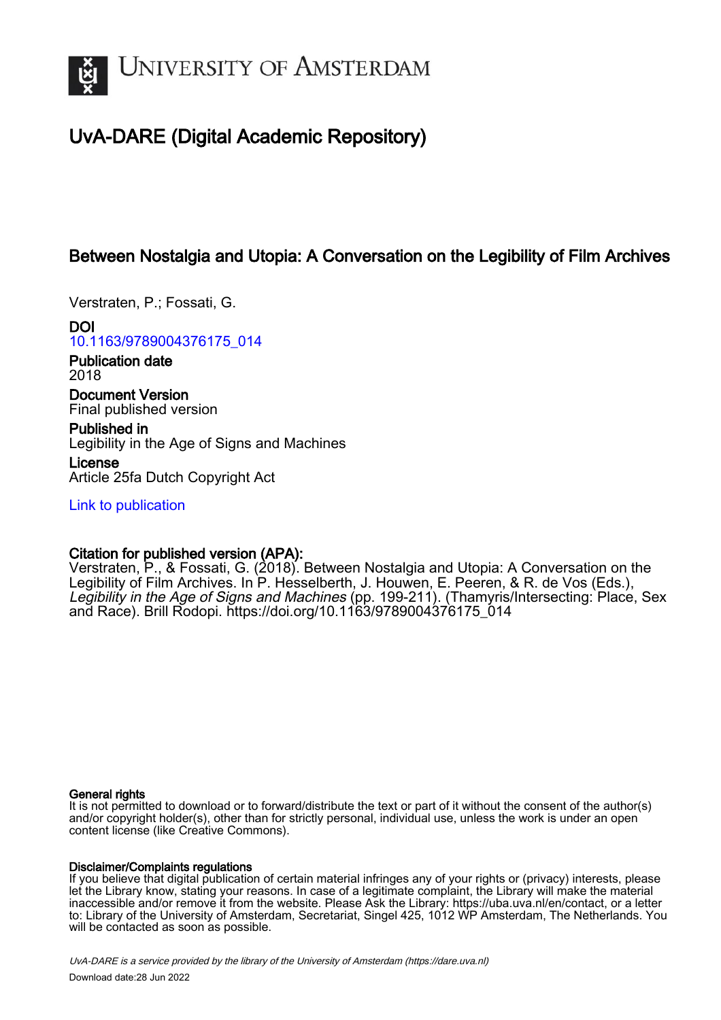

# UvA-DARE (Digital Academic Repository)

## Between Nostalgia and Utopia: A Conversation on the Legibility of Film Archives

Verstraten, P.; Fossati, G.

DOI [10.1163/9789004376175\\_014](https://doi.org/10.1163/9789004376175_014)

Publication date 2018

Document Version Final published version

Published in Legibility in the Age of Signs and Machines

License Article 25fa Dutch Copyright Act

[Link to publication](https://dare.uva.nl/personal/pure/en/publications/between-nostalgia-and-utopia-a-conversation-on-the-legibility-of-film-archives(513a17df-2b84-4a79-9008-3afaeea53304).html)

### Citation for published version (APA):

Verstraten, P., & Fossati, G. (2018). Between Nostalgia and Utopia: A Conversation on the Legibility of Film Archives. In P. Hesselberth, J. Houwen, E. Peeren, & R. de Vos (Eds.), Legibility in the Age of Signs and Machines (pp. 199-211). (Thamyris/Intersecting: Place, Sex and Race). Brill Rodopi. [https://doi.org/10.1163/9789004376175\\_014](https://doi.org/10.1163/9789004376175_014)

#### General rights

It is not permitted to download or to forward/distribute the text or part of it without the consent of the author(s) and/or copyright holder(s), other than for strictly personal, individual use, unless the work is under an open content license (like Creative Commons).

#### Disclaimer/Complaints regulations

If you believe that digital publication of certain material infringes any of your rights or (privacy) interests, please let the Library know, stating your reasons. In case of a legitimate complaint, the Library will make the material inaccessible and/or remove it from the website. Please Ask the Library: https://uba.uva.nl/en/contact, or a letter to: Library of the University of Amsterdam, Secretariat, Singel 425, 1012 WP Amsterdam, The Netherlands. You will be contacted as soon as possible.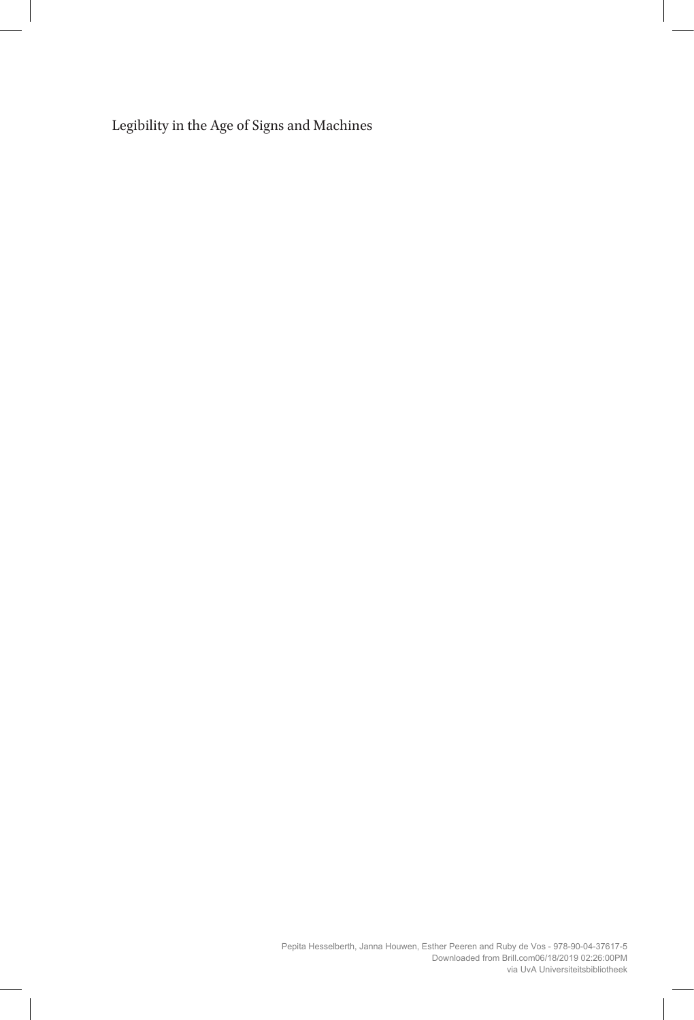Legibility in the Age of Signs and Machines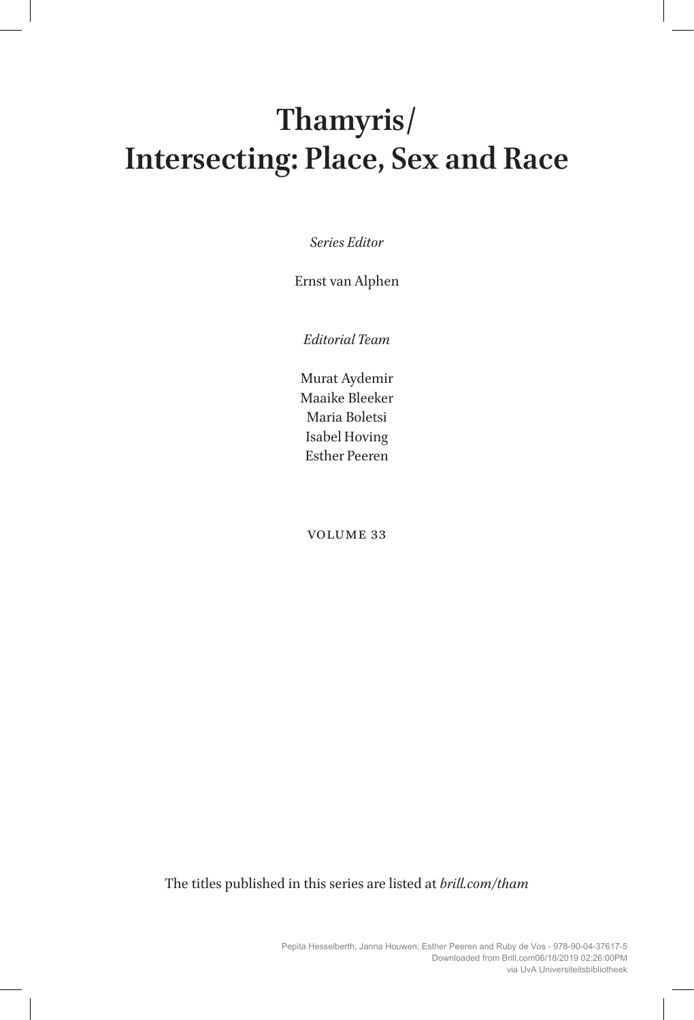# **Thamyris/ Intersecting: Place, Sex and Race**

*Series Editor*

Ernst van Alphen

*Editorial Team*

Murat Aydemir Maaike Bleeker Maria Boletsi Isabel Hoving Esther Peeren

VOLUME 33

The titles published in this series are listed at *brill.com/tham*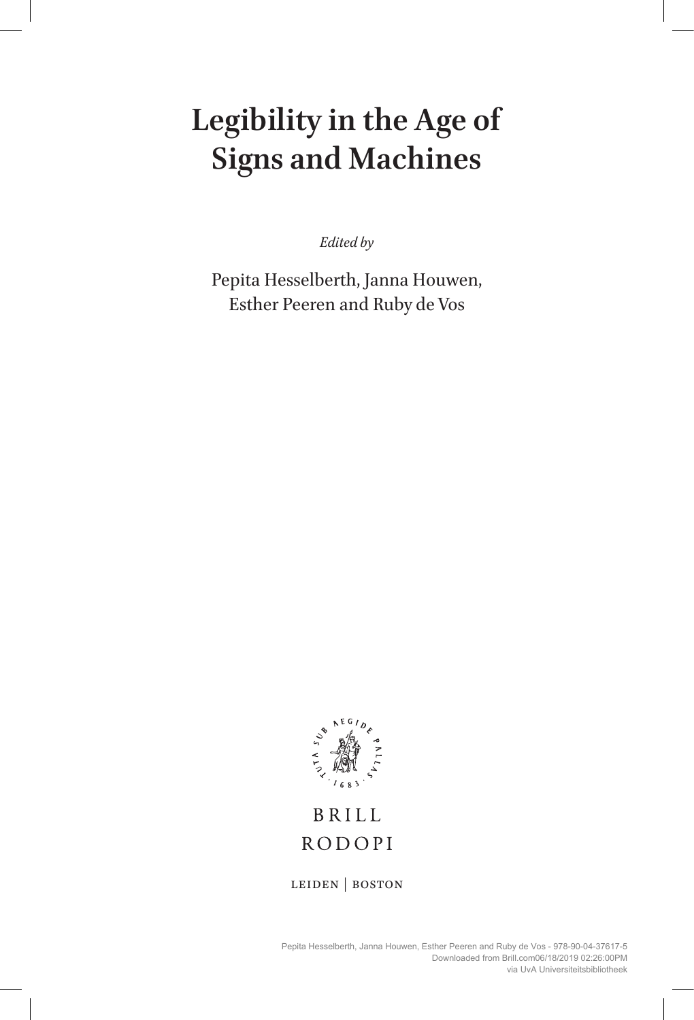# **Legibility in the Age of Signs and Machines**

*Edited by*

Pepita Hesselberth, Janna Houwen, Esther Peeren and Ruby de Vos



## **BRILL RODOPI**

LEIDEN | BOSTON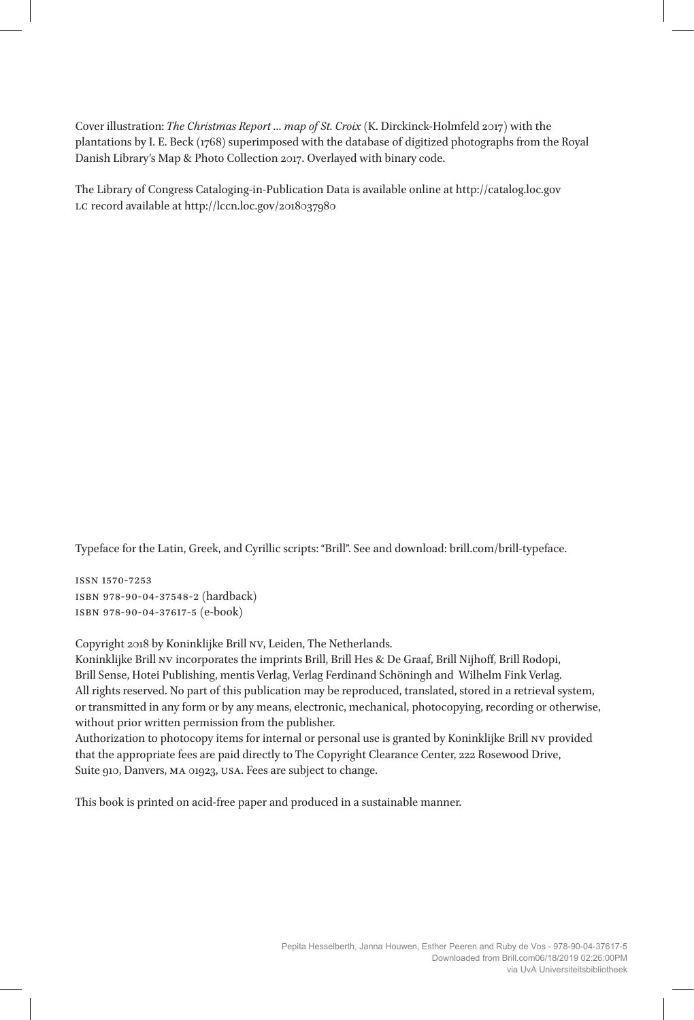Cover illustration: *The Christmas Report … map of St. Croix* (K. Dirckinck-Holmfeld 2017) with the plantations by I. E. Beck (1768) superimposed with the database of digitized photographs from the Royal Danish Library's Map & Photo Collection 2017. Overlayed with binary code.

The Library of Congress Cataloging-in-Publication Data is available online at http://catalog.loc.gov LC record available at http://lccn.loc.gov/2018037980

Typeface for the Latin, Greek, and Cyrillic scripts: "Brill". See and download: brill.com/brill-typeface.

```
ISSN 1570-7253
ISBN 978-90-04-37548-2 (hardback)
ISBN 978-90-04-37617-5 (e-book)
```
Copyright 2018 by Koninklijke Brill NV, Leiden, The Netherlands.

Koninklijke Brill NV incorporates the imprints Brill, Brill Hes & De Graaf, Brill Nijhoff, Brill Rodopi, Brill Sense, Hotei Publishing, mentis Verlag, Verlag Ferdinand Schöningh and Wilhelm Fink Verlag. All rights reserved. No part of this publication may be reproduced, translated, stored in a retrieval system, or transmitted in any form or by any means, electronic, mechanical, photocopying, recording or otherwise, without prior written permission from the publisher.

Authorization to photocopy items for internal or personal use is granted by Koninklijke Brill NV provided that the appropriate fees are paid directly to The Copyright Clearance Center, 222 Rosewood Drive, Suite 910, Danvers, MA 01923, USA. Fees are subject to change.

This book is printed on acid-free paper and produced in a sustainable manner.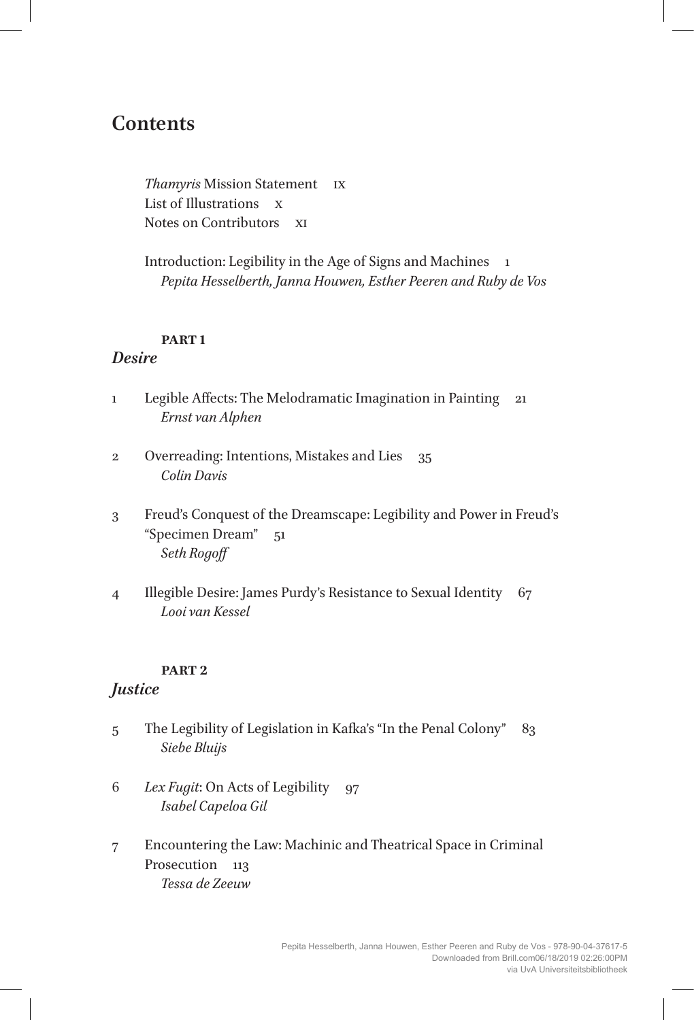### **Contents**

*Thamyris* Mission Statement ix List of Illustrations x Notes on Contributors xi

Introduction: Legibility in the Age of Signs and Machines 1 *Pepita Hesselberth, Janna Houwen, Esther Peeren and Ruby de Vos*

#### **Part 1**

#### *Desire*

- 1 Legible Affects: The Melodramatic Imagination in Painting 21 *Ernst van Alphen*
- 2 Overreading: Intentions, Mistakes and Lies 35 *Colin Davis*
- 3 Freud's Conquest of the Dreamscape: Legibility and Power in Freud's "Specimen Dream" 51 *Seth Rogoff*
- 4 Illegible Desire: James Purdy's Resistance to Sexual Identity 67 *Looi van Kessel*

#### **Part 2**

#### *Justice*

- 5 The Legibility of Legislation in Kafka's "In the Penal Colony" 83 *Siebe Bluijs*
- 6 Lex Fugit: On Acts of Legibility 97 *Isabel Capeloa Gil*
- 7 Encountering the Law: Machinic and Theatrical Space in Criminal Prosecution 113 *Tessa de Zeeuw*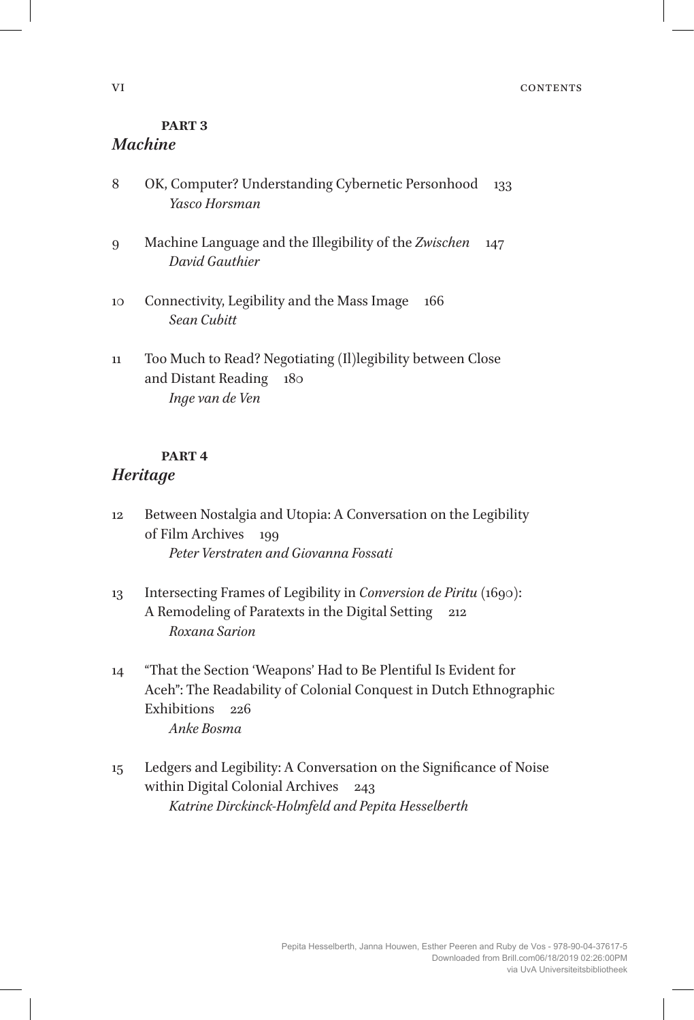#### **Part 3**

#### *Machine*

- 8 OK, Computer? Understanding Cybernetic Personhood 133 *Yasco Horsman*
- 9 Machine Language and the Illegibility of the *Zwischen* 147 *David Gauthier*
- 10 Connectivity, Legibility and the Mass Image 166 *Sean Cubitt*
- 11 Too Much to Read? Negotiating (Il)legibility between Close and Distant Reading 180 *Inge van de Ven*

#### **Part 4**

#### *Heritage*

- 12 Between Nostalgia and Utopia: A Conversation on the Legibility of Film Archives 199 *Peter Verstraten and Giovanna Fossati*
- 13 Intersecting Frames of Legibility in *Conversion de Piritu* (1690): A Remodeling of Paratexts in the Digital Setting 212 *Roxana Sarion*
- 14 "That the Section 'Weapons' Had to Be Plentiful Is Evident for Aceh": The Readability of Colonial Conquest in Dutch Ethnographic Exhibitions 226 *Anke Bosma*
- 15 Ledgers and Legibility: A Conversation on the Significance of Noise within Digital Colonial Archives 243 *Katrine Dirckinck-Holmfeld and Pepita Hesselberth*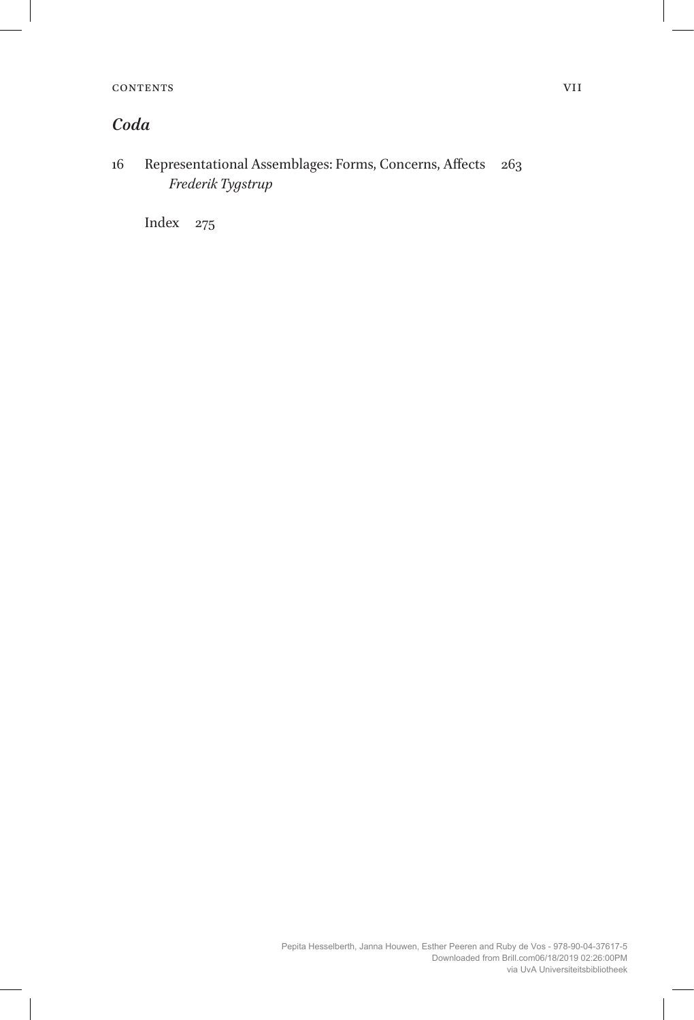## *Coda*

16 Representational Assemblages: Forms, Concerns, Affects 263 *Frederik Tygstrup*

Index 275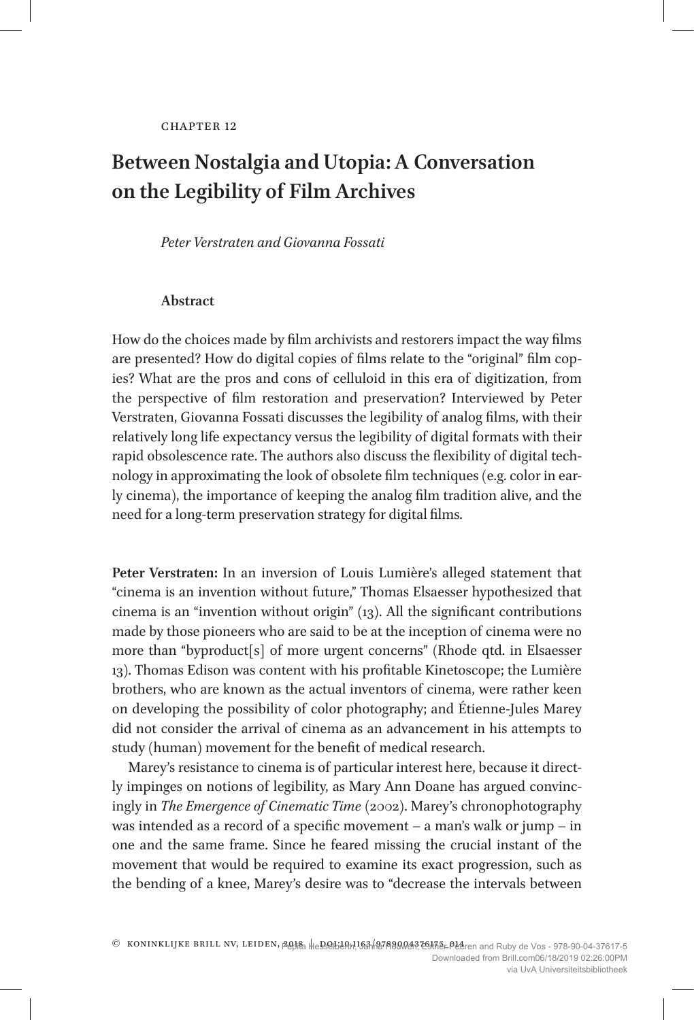## **Between Nostalgia and Utopia: A Conversation on the Legibility of Film Archives**

*Peter Verstraten and Giovanna Fossati*

#### **Abstract**

How do the choices made by film archivists and restorers impact the way films are presented? How do digital copies of films relate to the "original" film copies? What are the pros and cons of celluloid in this era of digitization, from the perspective of film restoration and preservation? Interviewed by Peter Verstraten, Giovanna Fossati discusses the legibility of analog films, with their relatively long life expectancy versus the legibility of digital formats with their rapid obsolescence rate. The authors also discuss the flexibility of digital technology in approximating the look of obsolete film techniques (e.g. color in early cinema), the importance of keeping the analog film tradition alive, and the need for a long-term preservation strategy for digital films.

**Peter Verstraten:** In an inversion of Louis Lumière's alleged statement that "cinema is an invention without future," Thomas Elsaesser hypothesized that cinema is an "invention without origin" (13). All the significant contributions made by those pioneers who are said to be at the inception of cinema were no more than "byproduct[s] of more urgent concerns" (Rhode qtd. in Elsaesser 13). Thomas Edison was content with his profitable Kinetoscope; the Lumière brothers, who are known as the actual inventors of cinema, were rather keen on developing the possibility of color photography; and Étienne-Jules Marey did not consider the arrival of cinema as an advancement in his attempts to study (human) movement for the benefit of medical research.

Marey's resistance to cinema is of particular interest here, because it directly impinges on notions of legibility, as Mary Ann Doane has argued convincingly in *The Emergence of Cinematic Time* (2002). Marey's chronophotography was intended as a record of a specific movement – a man's walk or jump – in one and the same frame. Since he feared missing the crucial instant of the movement that would be required to examine its exact progression, such as the bending of a knee, Marey's desire was to "decrease the intervals between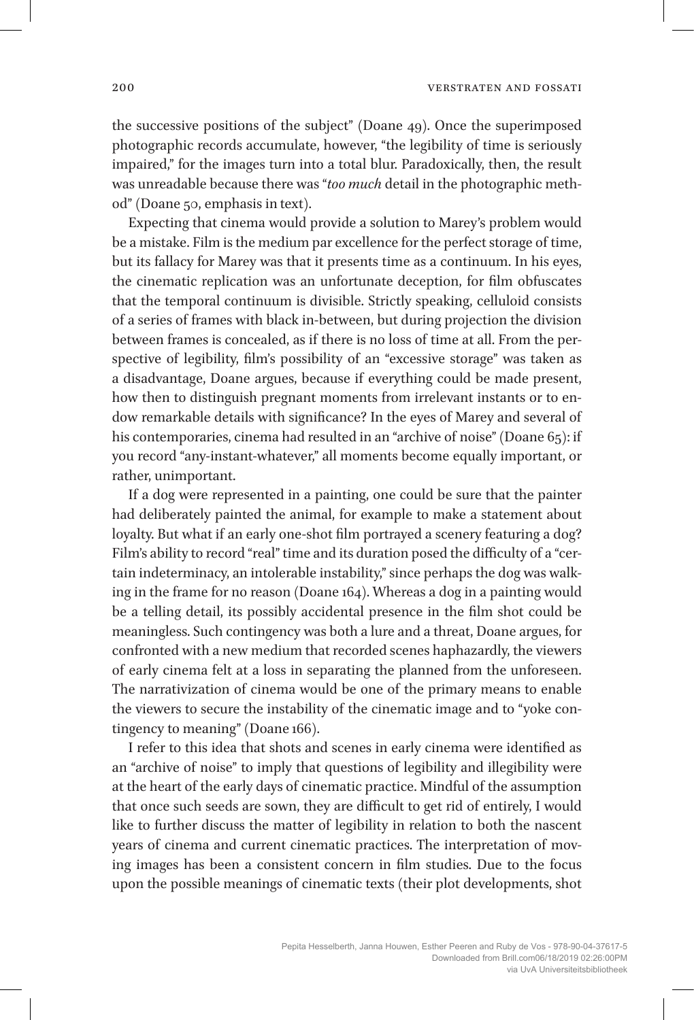the successive positions of the subject" (Doane 49). Once the superimposed photographic records accumulate, however, "the legibility of time is seriously impaired," for the images turn into a total blur. Paradoxically, then, the result was unreadable because there was "*too much* detail in the photographic method" (Doane 50, emphasis in text).

Expecting that cinema would provide a solution to Marey's problem would be a mistake. Film is the medium par excellence for the perfect storage of time, but its fallacy for Marey was that it presents time as a continuum. In his eyes, the cinematic replication was an unfortunate deception, for film obfuscates that the temporal continuum is divisible. Strictly speaking, celluloid consists of a series of frames with black in-between, but during projection the division between frames is concealed, as if there is no loss of time at all. From the perspective of legibility, film's possibility of an "excessive storage" was taken as a disadvantage, Doane argues, because if everything could be made present, how then to distinguish pregnant moments from irrelevant instants or to endow remarkable details with significance? In the eyes of Marey and several of his contemporaries, cinema had resulted in an "archive of noise" (Doane 65): if you record "any-instant-whatever," all moments become equally important, or rather, unimportant.

If a dog were represented in a painting, one could be sure that the painter had deliberately painted the animal, for example to make a statement about loyalty. But what if an early one-shot film portrayed a scenery featuring a dog? Film's ability to record "real" time and its duration posed the difficulty of a "certain indeterminacy, an intolerable instability," since perhaps the dog was walking in the frame for no reason (Doane 164). Whereas a dog in a painting would be a telling detail, its possibly accidental presence in the film shot could be meaningless. Such contingency was both a lure and a threat, Doane argues, for confronted with a new medium that recorded scenes haphazardly, the viewers of early cinema felt at a loss in separating the planned from the unforeseen. The narrativization of cinema would be one of the primary means to enable the viewers to secure the instability of the cinematic image and to "yoke contingency to meaning" (Doane 166).

I refer to this idea that shots and scenes in early cinema were identified as an "archive of noise" to imply that questions of legibility and illegibility were at the heart of the early days of cinematic practice. Mindful of the assumption that once such seeds are sown, they are difficult to get rid of entirely, I would like to further discuss the matter of legibility in relation to both the nascent years of cinema and current cinematic practices. The interpretation of moving images has been a consistent concern in film studies. Due to the focus upon the possible meanings of cinematic texts (their plot developments, shot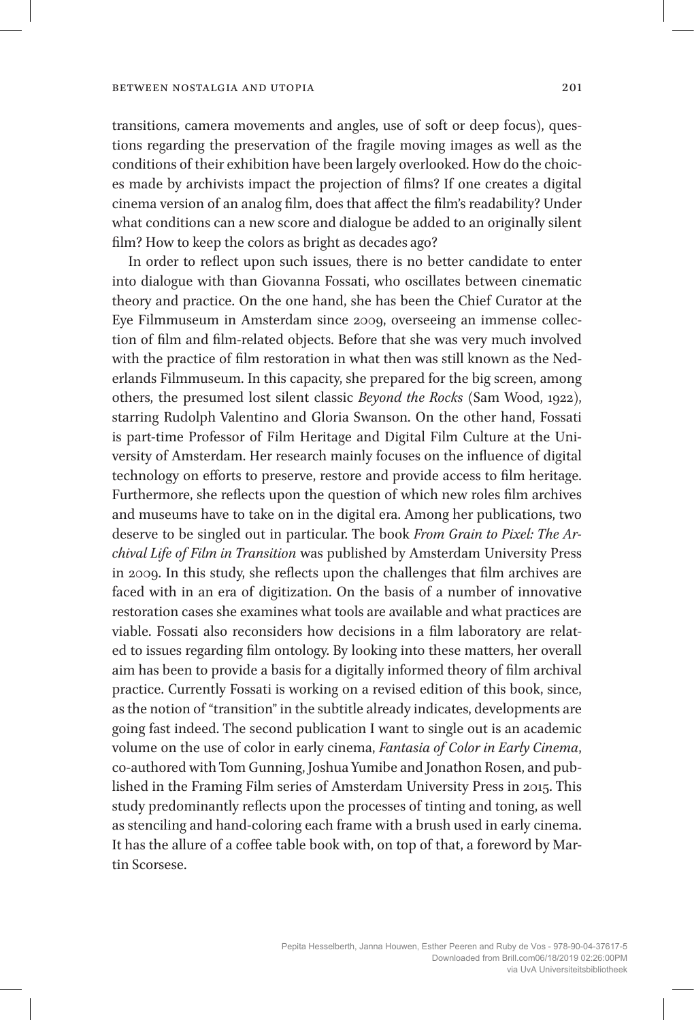transitions, camera movements and angles, use of soft or deep focus), questions regarding the preservation of the fragile moving images as well as the conditions of their exhibition have been largely overlooked. How do the choices made by archivists impact the projection of films? If one creates a digital cinema version of an analog film, does that affect the film's readability? Under what conditions can a new score and dialogue be added to an originally silent film? How to keep the colors as bright as decades ago?

In order to reflect upon such issues, there is no better candidate to enter into dialogue with than Giovanna Fossati, who oscillates between cinematic theory and practice. On the one hand, she has been the Chief Curator at the Eye Filmmuseum in Amsterdam since 2009, overseeing an immense collection of film and film-related objects. Before that she was very much involved with the practice of film restoration in what then was still known as the Nederlands Filmmuseum. In this capacity, she prepared for the big screen, among others, the presumed lost silent classic *Beyond the Rocks* (Sam Wood, 1922), starring Rudolph Valentino and Gloria Swanson. On the other hand, Fossati is part-time Professor of Film Heritage and Digital Film Culture at the University of Amsterdam. Her research mainly focuses on the influence of digital technology on efforts to preserve, restore and provide access to film heritage. Furthermore, she reflects upon the question of which new roles film archives and museums have to take on in the digital era. Among her publications, two deserve to be singled out in particular. The book *From Grain to Pixel: The Archival Life of Film in Transition* was published by Amsterdam University Press in 2009. In this study, she reflects upon the challenges that film archives are faced with in an era of digitization. On the basis of a number of innovative restoration cases she examines what tools are available and what practices are viable. Fossati also reconsiders how decisions in a film laboratory are related to issues regarding film ontology. By looking into these matters, her overall aim has been to provide a basis for a digitally informed theory of film archival practice. Currently Fossati is working on a revised edition of this book, since, as the notion of "transition" in the subtitle already indicates, developments are going fast indeed. The second publication I want to single out is an academic volume on the use of color in early cinema, *Fantasia of Color in Early Cinema*, co-authored with Tom Gunning, Joshua Yumibe and Jonathon Rosen, and published in the Framing Film series of Amsterdam University Press in 2015. This study predominantly reflects upon the processes of tinting and toning, as well as stenciling and hand-coloring each frame with a brush used in early cinema. It has the allure of a coffee table book with, on top of that, a foreword by Martin Scorsese.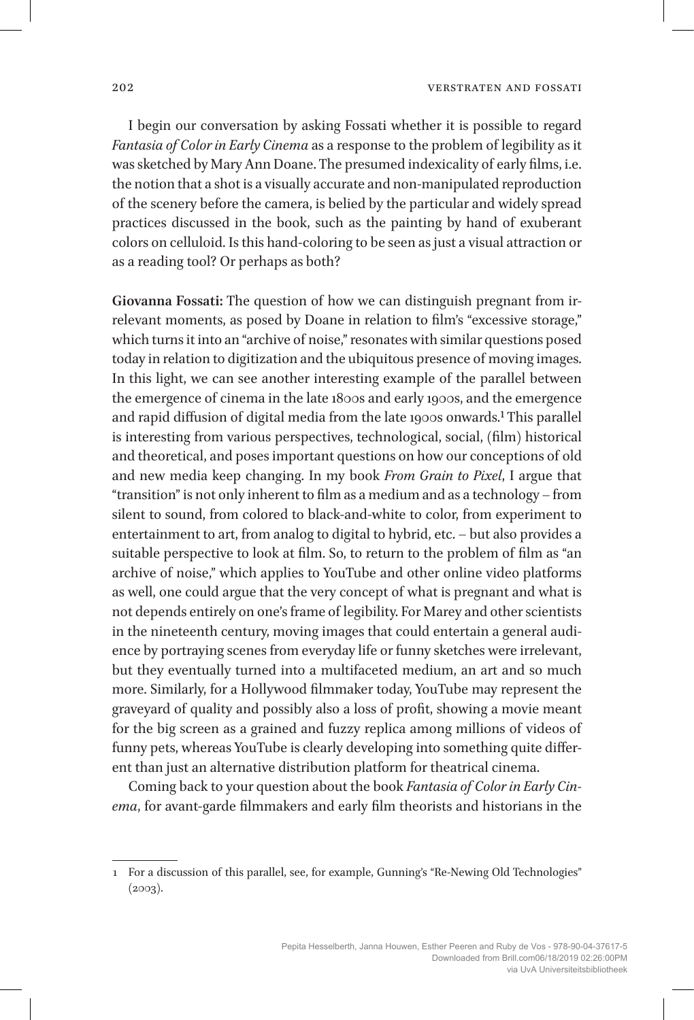I begin our conversation by asking Fossati whether it is possible to regard *Fantasia of Color in Early Cinema* as a response to the problem of legibility as it was sketched by Mary Ann Doane. The presumed indexicality of early films, i.e. the notion that a shot is a visually accurate and non-manipulated reproduction of the scenery before the camera, is belied by the particular and widely spread practices discussed in the book, such as the painting by hand of exuberant colors on celluloid. Is this hand-coloring to be seen as just a visual attraction or as a reading tool? Or perhaps as both?

**Giovanna Fossati:** The question of how we can distinguish pregnant from irrelevant moments, as posed by Doane in relation to film's "excessive storage," which turns it into an "archive of noise," resonates with similar questions posed today in relation to digitization and the ubiquitous presence of moving images. In this light, we can see another interesting example of the parallel between the emergence of cinema in the late 1800s and early 1900s, and the emergence and rapid diffusion of digital media from the late 1900s onwards.<sup>1</sup> This parallel is interesting from various perspectives, technological, social, (film) historical and theoretical, and poses important questions on how our conceptions of old and new media keep changing. In my book *From Grain to Pixel*, I argue that "transition" is not only inherent to film as a medium and as a technology – from silent to sound, from colored to black-and-white to color, from experiment to entertainment to art, from analog to digital to hybrid, etc. – but also provides a suitable perspective to look at film. So, to return to the problem of film as "an archive of noise," which applies to YouTube and other online video platforms as well, one could argue that the very concept of what is pregnant and what is not depends entirely on one's frame of legibility. For Marey and other scientists in the nineteenth century, moving images that could entertain a general audience by portraying scenes from everyday life or funny sketches were irrelevant, but they eventually turned into a multifaceted medium, an art and so much more. Similarly, for a Hollywood filmmaker today, YouTube may represent the graveyard of quality and possibly also a loss of profit, showing a movie meant for the big screen as a grained and fuzzy replica among millions of videos of funny pets, whereas YouTube is clearly developing into something quite different than just an alternative distribution platform for theatrical cinema.

Coming back to your question about the book *Fantasia of Color in Early Cinema*, for avant-garde filmmakers and early film theorists and historians in the

<sup>1</sup> For a discussion of this parallel, see, for example, Gunning's "Re-Newing Old Technologies" (2003).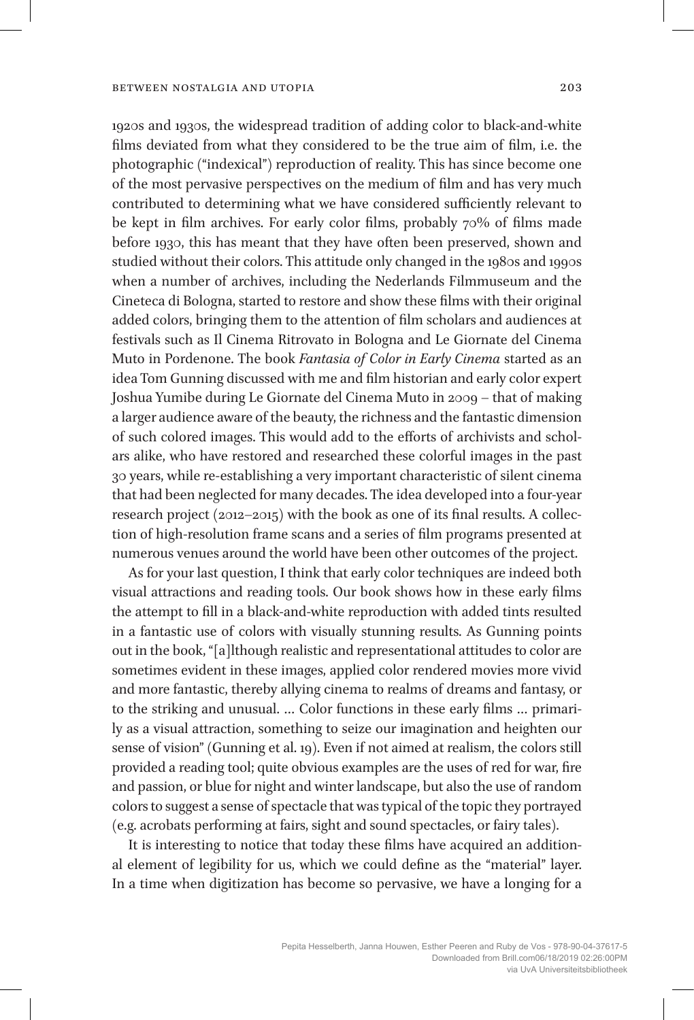1920s and 1930s, the widespread tradition of adding color to black-and-white films deviated from what they considered to be the true aim of film, i.e. the photographic ("indexical") reproduction of reality. This has since become one of the most pervasive perspectives on the medium of film and has very much contributed to determining what we have considered sufficiently relevant to be kept in film archives. For early color films, probably 70% of films made before 1930, this has meant that they have often been preserved, shown and studied without their colors. This attitude only changed in the 1980s and 1990s when a number of archives, including the Nederlands Filmmuseum and the Cineteca di Bologna, started to restore and show these films with their original added colors, bringing them to the attention of film scholars and audiences at festivals such as Il Cinema Ritrovato in Bologna and Le Giornate del Cinema Muto in Pordenone. The book *Fantasia of Color in Early Cinema* started as an idea Tom Gunning discussed with me and film historian and early color expert Joshua Yumibe during Le Giornate del Cinema Muto in 2009 – that of making a larger audience aware of the beauty, the richness and the fantastic dimension of such colored images. This would add to the efforts of archivists and scholars alike, who have restored and researched these colorful images in the past 30 years, while re-establishing a very important characteristic of silent cinema that had been neglected for many decades. The idea developed into a four-year research project (2012–2015) with the book as one of its final results. A collection of high-resolution frame scans and a series of film programs presented at

As for your last question, I think that early color techniques are indeed both visual attractions and reading tools. Our book shows how in these early films the attempt to fill in a black-and-white reproduction with added tints resulted in a fantastic use of colors with visually stunning results. As Gunning points out in the book, "[a]lthough realistic and representational attitudes to color are sometimes evident in these images, applied color rendered movies more vivid and more fantastic, thereby allying cinema to realms of dreams and fantasy, or to the striking and unusual. … Color functions in these early films … primarily as a visual attraction, something to seize our imagination and heighten our sense of vision" (Gunning et al. 19). Even if not aimed at realism, the colors still provided a reading tool; quite obvious examples are the uses of red for war, fire and passion, or blue for night and winter landscape, but also the use of random colors to suggest a sense of spectacle that was typical of the topic they portrayed (e.g. acrobats performing at fairs, sight and sound spectacles, or fairy tales).

numerous venues around the world have been other outcomes of the project.

It is interesting to notice that today these films have acquired an additional element of legibility for us, which we could define as the "material" layer. In a time when digitization has become so pervasive, we have a longing for a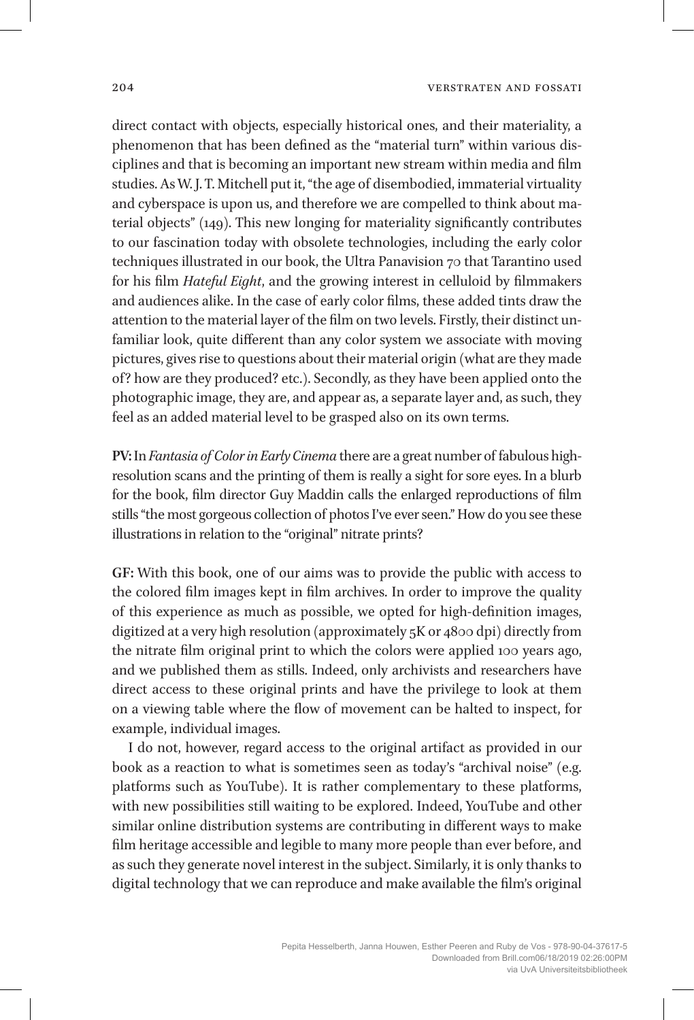direct contact with objects, especially historical ones, and their materiality, a phenomenon that has been defined as the "material turn" within various disciplines and that is becoming an important new stream within media and film studies. As W. J. T. Mitchell put it, "the age of disembodied, immaterial virtuality and cyberspace is upon us, and therefore we are compelled to think about material objects" (149). This new longing for materiality significantly contributes to our fascination today with obsolete technologies, including the early color techniques illustrated in our book, the Ultra Panavision 70 that Tarantino used for his film *Hateful Eight*, and the growing interest in celluloid by filmmakers and audiences alike. In the case of early color films, these added tints draw the attention to the material layer of the film on two levels. Firstly, their distinct unfamiliar look, quite different than any color system we associate with moving pictures, gives rise to questions about their material origin (what are they made of? how are they produced? etc.). Secondly, as they have been applied onto the photographic image, they are, and appear as, a separate layer and, as such, they feel as an added material level to be grasped also on its own terms.

**PV:** In *Fantasia of Color in Early Cinema* there are a great number of fabulous highresolution scans and the printing of them is really a sight for sore eyes. In a blurb for the book, film director Guy Maddin calls the enlarged reproductions of film stills "the most gorgeous collection of photos I've ever seen." How do you see these illustrations in relation to the "original" nitrate prints?

**GF:** With this book, one of our aims was to provide the public with access to the colored film images kept in film archives. In order to improve the quality of this experience as much as possible, we opted for high-definition images, digitized at a very high resolution (approximately 5K or 4800 dpi) directly from the nitrate film original print to which the colors were applied 100 years ago, and we published them as stills. Indeed, only archivists and researchers have direct access to these original prints and have the privilege to look at them on a viewing table where the flow of movement can be halted to inspect, for example, individual images.

I do not, however, regard access to the original artifact as provided in our book as a reaction to what is sometimes seen as today's "archival noise" (e.g. platforms such as YouTube). It is rather complementary to these platforms, with new possibilities still waiting to be explored. Indeed, YouTube and other similar online distribution systems are contributing in different ways to make film heritage accessible and legible to many more people than ever before, and as such they generate novel interest in the subject. Similarly, it is only thanks to digital technology that we can reproduce and make available the film's original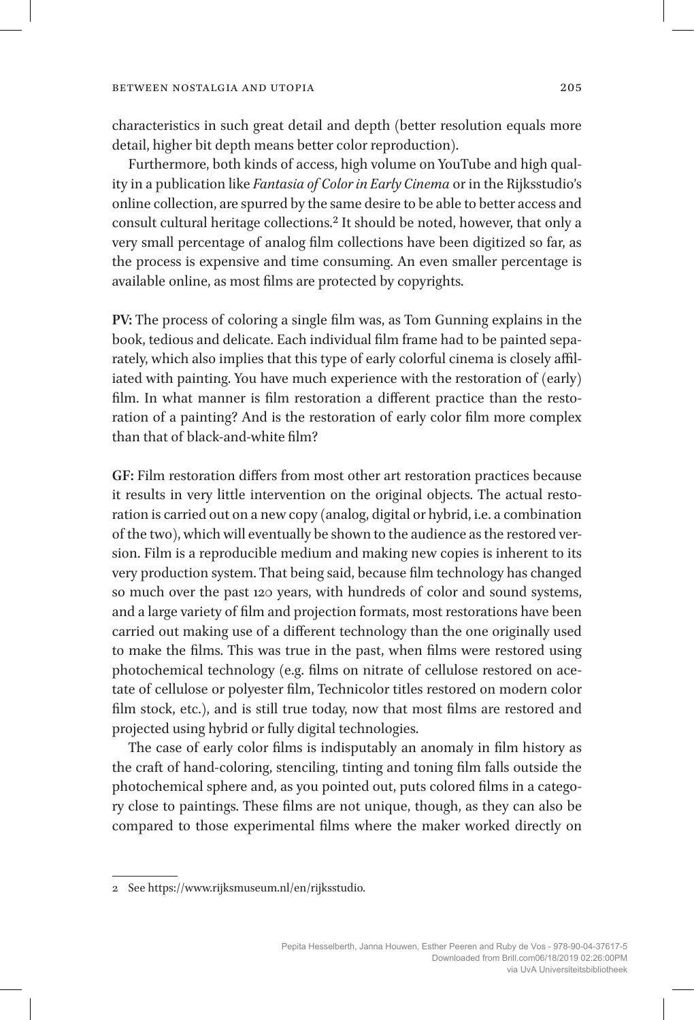characteristics in such great detail and depth (better resolution equals more detail, higher bit depth means better color reproduction).

Furthermore, both kinds of access, high volume on YouTube and high quality in a publication like *Fantasia of Color in Early Cinema* or in the Rijksstudio's online collection, are spurred by the same desire to be able to better access and consult cultural heritage collections.2 It should be noted, however, that only a very small percentage of analog film collections have been digitized so far, as the process is expensive and time consuming. An even smaller percentage is available online, as most films are protected by copyrights.

**PV:** The process of coloring a single film was, as Tom Gunning explains in the book, tedious and delicate. Each individual film frame had to be painted separately, which also implies that this type of early colorful cinema is closely affiliated with painting. You have much experience with the restoration of (early) film. In what manner is film restoration a different practice than the restoration of a painting? And is the restoration of early color film more complex than that of black-and-white film?

**GF:** Film restoration differs from most other art restoration practices because it results in very little intervention on the original objects. The actual restoration is carried out on a new copy (analog, digital or hybrid, i.e. a combination of the two), which will eventually be shown to the audience as the restored version. Film is a reproducible medium and making new copies is inherent to its very production system. That being said, because film technology has changed so much over the past 120 years, with hundreds of color and sound systems, and a large variety of film and projection formats, most restorations have been carried out making use of a different technology than the one originally used to make the films. This was true in the past, when films were restored using photochemical technology (e.g. films on nitrate of cellulose restored on acetate of cellulose or polyester film, Technicolor titles restored on modern color film stock, etc.), and is still true today, now that most films are restored and projected using hybrid or fully digital technologies.

The case of early color films is indisputably an anomaly in film history as the craft of hand-coloring, stenciling, tinting and toning film falls outside the photochemical sphere and, as you pointed out, puts colored films in a category close to paintings. These films are not unique, though, as they can also be compared to those experimental films where the maker worked directly on

<sup>2</sup> See https://www.rijksmuseum.nl/en/rijksstudio.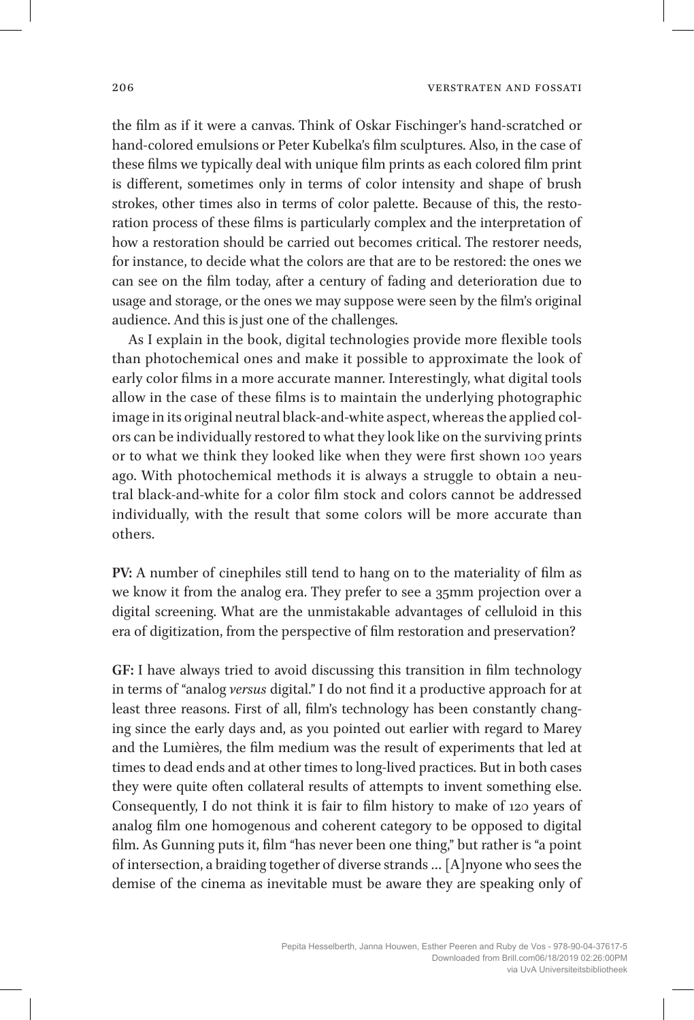the film as if it were a canvas. Think of Oskar Fischinger's hand-scratched or hand-colored emulsions or Peter Kubelka's film sculptures. Also, in the case of these films we typically deal with unique film prints as each colored film print is different, sometimes only in terms of color intensity and shape of brush strokes, other times also in terms of color palette. Because of this, the restoration process of these films is particularly complex and the interpretation of how a restoration should be carried out becomes critical. The restorer needs, for instance, to decide what the colors are that are to be restored: the ones we can see on the film today, after a century of fading and deterioration due to usage and storage, or the ones we may suppose were seen by the film's original audience. And this is just one of the challenges.

As I explain in the book, digital technologies provide more flexible tools than photochemical ones and make it possible to approximate the look of early color films in a more accurate manner. Interestingly, what digital tools allow in the case of these films is to maintain the underlying photographic image in its original neutral black-and-white aspect, whereas the applied colors can be individually restored to what they look like on the surviving prints or to what we think they looked like when they were first shown 100 years ago. With photochemical methods it is always a struggle to obtain a neutral black-and-white for a color film stock and colors cannot be addressed individually, with the result that some colors will be more accurate than others.

**PV:** A number of cinephiles still tend to hang on to the materiality of film as we know it from the analog era. They prefer to see a 35mm projection over a digital screening. What are the unmistakable advantages of celluloid in this era of digitization, from the perspective of film restoration and preservation?

**GF:** I have always tried to avoid discussing this transition in film technology in terms of "analog *versus* digital." I do not find it a productive approach for at least three reasons. First of all, film's technology has been constantly changing since the early days and, as you pointed out earlier with regard to Marey and the Lumières, the film medium was the result of experiments that led at times to dead ends and at other times to long-lived practices. But in both cases they were quite often collateral results of attempts to invent something else. Consequently, I do not think it is fair to film history to make of 120 years of analog film one homogenous and coherent category to be opposed to digital film. As Gunning puts it, film "has never been one thing," but rather is "a point of intersection, a braiding together of diverse strands … [A]nyone who sees the demise of the cinema as inevitable must be aware they are speaking only of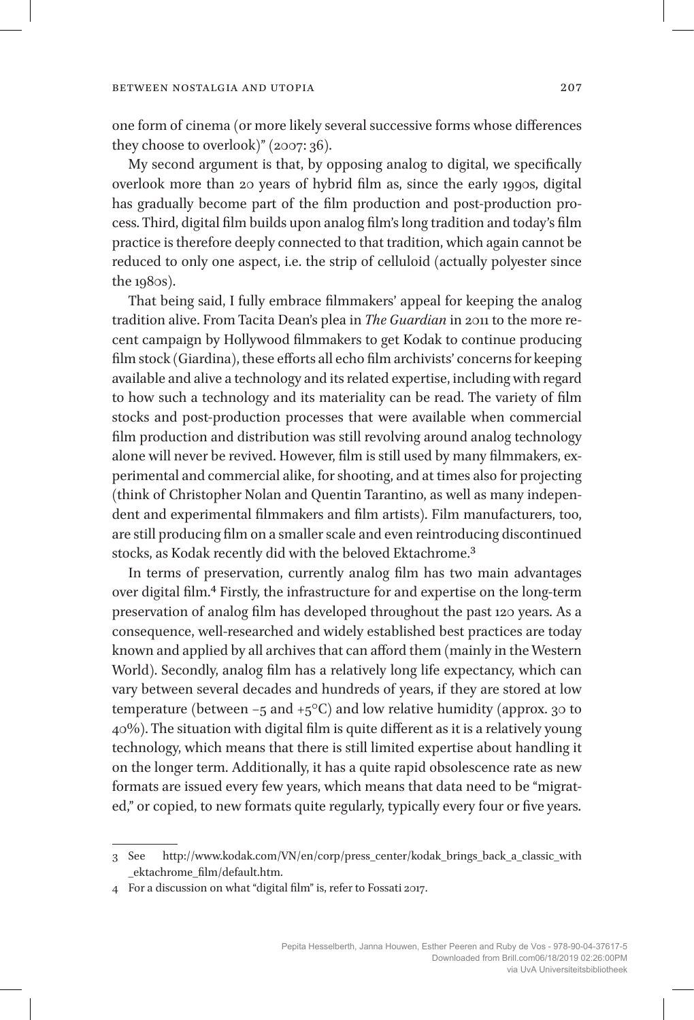one form of cinema (or more likely several successive forms whose differences they choose to overlook)" (2007: 36).

My second argument is that, by opposing analog to digital, we specifically overlook more than 20 years of hybrid film as, since the early 1990s, digital has gradually become part of the film production and post-production process. Third, digital film builds upon analog film's long tradition and today's film practice is therefore deeply connected to that tradition, which again cannot be reduced to only one aspect, i.e. the strip of celluloid (actually polyester since the 1980s).

That being said, I fully embrace filmmakers' appeal for keeping the analog tradition alive. From Tacita Dean's plea in *The Guardian* in 2011 to the more recent campaign by Hollywood filmmakers to get Kodak to continue producing film stock (Giardina), these efforts all echo film archivists' concerns for keeping available and alive a technology and its related expertise, including with regard to how such a technology and its materiality can be read. The variety of film stocks and post-production processes that were available when commercial film production and distribution was still revolving around analog technology alone will never be revived. However, film is still used by many filmmakers, experimental and commercial alike, for shooting, and at times also for projecting (think of Christopher Nolan and Quentin Tarantino, as well as many independent and experimental filmmakers and film artists). Film manufacturers, too, are still producing film on a smaller scale and even reintroducing discontinued stocks, as Kodak recently did with the beloved Ektachrome.3

In terms of preservation, currently analog film has two main advantages over digital film.4 Firstly, the infrastructure for and expertise on the long-term preservation of analog film has developed throughout the past 120 years. As a consequence, well-researched and widely established best practices are today known and applied by all archives that can afford them (mainly in the Western World). Secondly, analog film has a relatively long life expectancy, which can vary between several decades and hundreds of years, if they are stored at low temperature (between  $-5$  and  $+5^{\circ}$ C) and low relative humidity (approx. 30 to 40%). The situation with digital film is quite different as it is a relatively young technology, which means that there is still limited expertise about handling it on the longer term. Additionally, it has a quite rapid obsolescence rate as new formats are issued every few years, which means that data need to be "migrated," or copied, to new formats quite regularly, typically every four or five years.

<sup>3</sup> See http://www.kodak.com/VN/en/corp/press\_center/kodak\_brings\_back\_a\_classic\_with \_ektachrome\_film/default.htm.

<sup>4</sup> For a discussion on what "digital film" is, refer to Fossati 2017.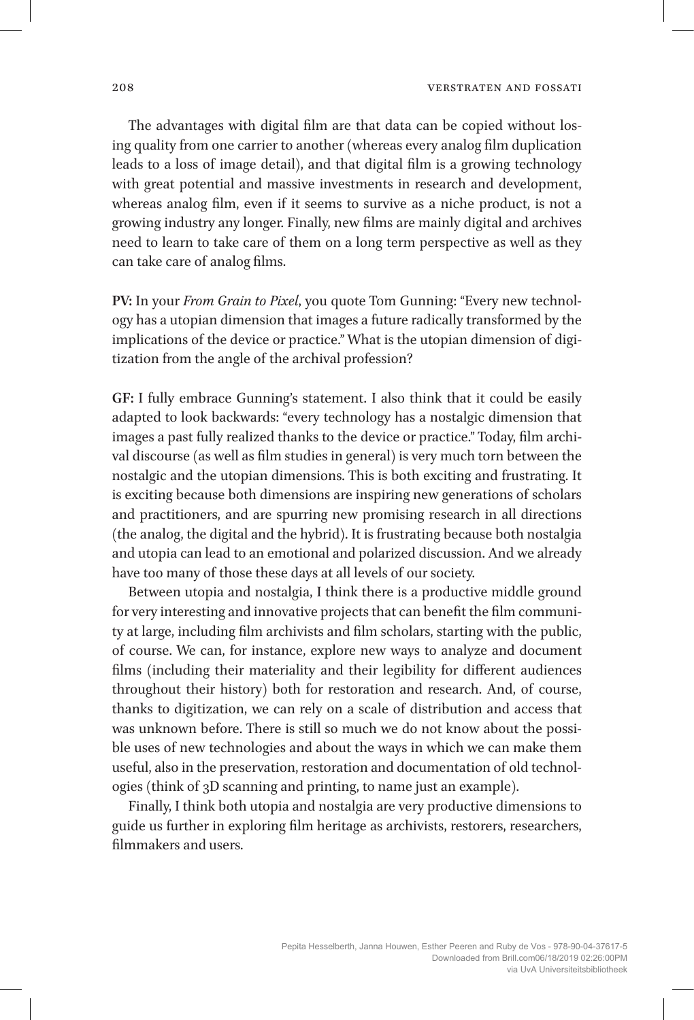The advantages with digital film are that data can be copied without losing quality from one carrier to another (whereas every analog film duplication leads to a loss of image detail), and that digital film is a growing technology with great potential and massive investments in research and development, whereas analog film, even if it seems to survive as a niche product, is not a growing industry any longer. Finally, new films are mainly digital and archives need to learn to take care of them on a long term perspective as well as they can take care of analog films.

**PV:** In your *From Grain to Pixel*, you quote Tom Gunning: "Every new technology has a utopian dimension that images a future radically transformed by the implications of the device or practice." What is the utopian dimension of digitization from the angle of the archival profession?

**GF:** I fully embrace Gunning's statement. I also think that it could be easily adapted to look backwards: "every technology has a nostalgic dimension that images a past fully realized thanks to the device or practice." Today, film archival discourse (as well as film studies in general) is very much torn between the nostalgic and the utopian dimensions. This is both exciting and frustrating. It is exciting because both dimensions are inspiring new generations of scholars and practitioners, and are spurring new promising research in all directions (the analog, the digital and the hybrid). It is frustrating because both nostalgia and utopia can lead to an emotional and polarized discussion. And we already have too many of those these days at all levels of our society.

Between utopia and nostalgia, I think there is a productive middle ground for very interesting and innovative projects that can benefit the film community at large, including film archivists and film scholars, starting with the public, of course. We can, for instance, explore new ways to analyze and document films (including their materiality and their legibility for different audiences throughout their history) both for restoration and research. And, of course, thanks to digitization, we can rely on a scale of distribution and access that was unknown before. There is still so much we do not know about the possible uses of new technologies and about the ways in which we can make them useful, also in the preservation, restoration and documentation of old technologies (think of 3D scanning and printing, to name just an example).

Finally, I think both utopia and nostalgia are very productive dimensions to guide us further in exploring film heritage as archivists, restorers, researchers, filmmakers and users.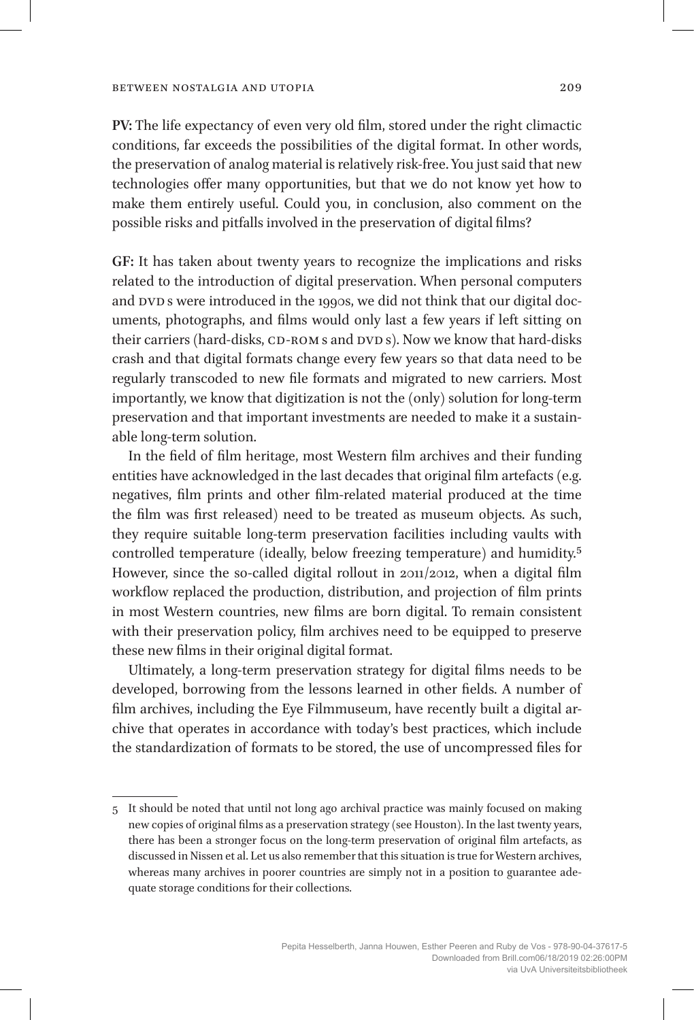**PV:** The life expectancy of even very old film, stored under the right climactic conditions, far exceeds the possibilities of the digital format. In other words, the preservation of analog material is relatively risk-free. You just said that new technologies offer many opportunities, but that we do not know yet how to make them entirely useful. Could you, in conclusion, also comment on the possible risks and pitfalls involved in the preservation of digital films?

**GF:** It has taken about twenty years to recognize the implications and risks related to the introduction of digital preservation. When personal computers and DVD s were introduced in the 1990s, we did not think that our digital documents, photographs, and films would only last a few years if left sitting on their carriers (hard-disks, CD-ROM s and DVD s). Now we know that hard-disks crash and that digital formats change every few years so that data need to be regularly transcoded to new file formats and migrated to new carriers. Most importantly, we know that digitization is not the (only) solution for long-term preservation and that important investments are needed to make it a sustainable long-term solution.

In the field of film heritage, most Western film archives and their funding entities have acknowledged in the last decades that original film artefacts (e.g. negatives, film prints and other film-related material produced at the time the film was first released) need to be treated as museum objects. As such, they require suitable long-term preservation facilities including vaults with controlled temperature (ideally, below freezing temperature) and humidity.5 However, since the so-called digital rollout in 2011/2012, when a digital film workflow replaced the production, distribution, and projection of film prints in most Western countries, new films are born digital. To remain consistent with their preservation policy, film archives need to be equipped to preserve these new films in their original digital format.

Ultimately, a long-term preservation strategy for digital films needs to be developed, borrowing from the lessons learned in other fields. A number of film archives, including the Eye Filmmuseum, have recently built a digital archive that operates in accordance with today's best practices, which include the standardization of formats to be stored, the use of uncompressed files for

<sup>5</sup> It should be noted that until not long ago archival practice was mainly focused on making new copies of original films as a preservation strategy (see Houston). In the last twenty years, there has been a stronger focus on the long-term preservation of original film artefacts, as discussed in Nissen et al. Let us also remember that this situation is true for Western archives, whereas many archives in poorer countries are simply not in a position to guarantee adequate storage conditions for their collections.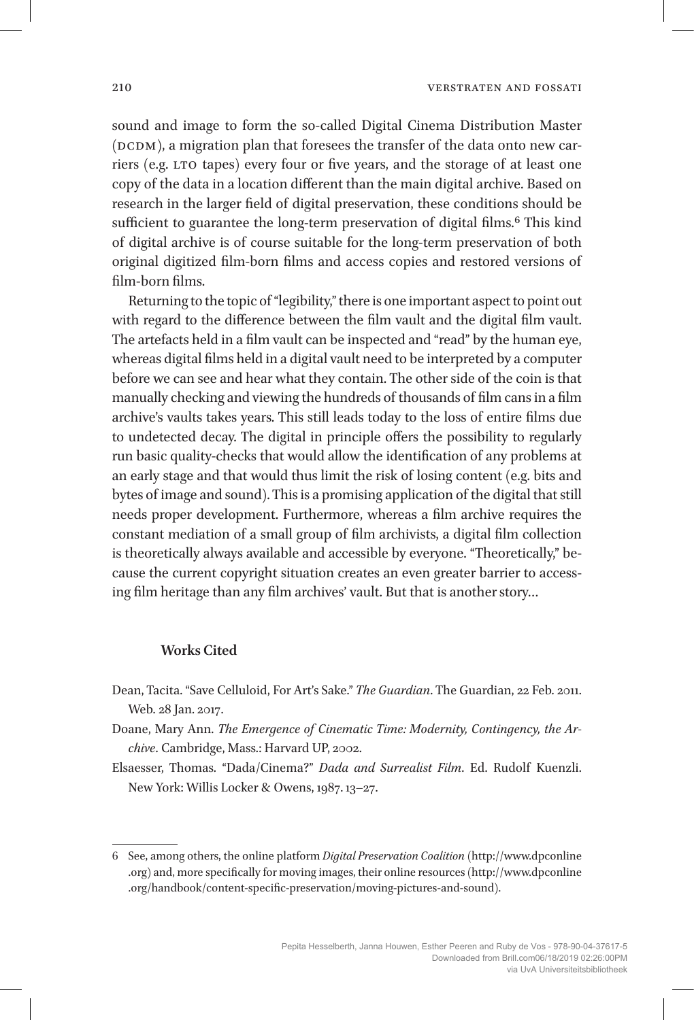sound and image to form the so-called Digital Cinema Distribution Master  $(DCDM)$ , a migration plan that foresees the transfer of the data onto new carriers (e.g. LTO tapes) every four or five years, and the storage of at least one copy of the data in a location different than the main digital archive. Based on research in the larger field of digital preservation, these conditions should be sufficient to guarantee the long-term preservation of digital films.<sup>6</sup> This kind of digital archive is of course suitable for the long-term preservation of both original digitized film-born films and access copies and restored versions of film-born films.

Returning to the topic of "legibility," there is one important aspect to point out with regard to the difference between the film vault and the digital film vault. The artefacts held in a film vault can be inspected and "read" by the human eye, whereas digital films held in a digital vault need to be interpreted by a computer before we can see and hear what they contain. The other side of the coin is that manually checking and viewing the hundreds of thousands of film cans in a film archive's vaults takes years. This still leads today to the loss of entire films due to undetected decay. The digital in principle offers the possibility to regularly run basic quality-checks that would allow the identification of any problems at an early stage and that would thus limit the risk of losing content (e.g. bits and bytes of image and sound). This is a promising application of the digital that still needs proper development. Furthermore, whereas a film archive requires the constant mediation of a small group of film archivists, a digital film collection is theoretically always available and accessible by everyone. "Theoretically," because the current copyright situation creates an even greater barrier to accessing film heritage than any film archives' vault. But that is another story…

#### **Works Cited**

- Dean, Tacita. "Save Celluloid, For Art's Sake." *The Guardian*. The Guardian, 22 Feb. 2011. Web. 28 Jan. 2017.
- Doane, Mary Ann. *The Emergence of Cinematic Time: Modernity, Contingency, the Archive*. Cambridge, Mass.: Harvard UP, 2002.
- Elsaesser, Thomas. "Dada/Cinema?" *Dada and Surrealist Film*. Ed. Rudolf Kuenzli. New York: Willis Locker & Owens, 1987. 13–27.

<sup>6</sup> See, among others, the online platform *Digital Preservation Coalition* (http://www.dpconline .org) and, more specifically for moving images, their online resources (http://www.dpconline .org/handbook/content-specific-preservation/moving-pictures-and-sound).